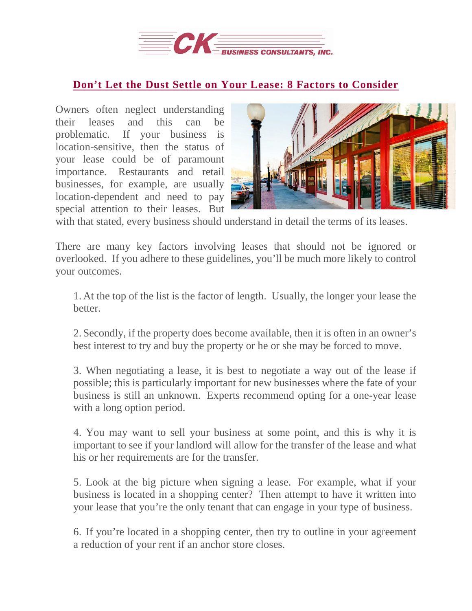

## **Don't Let the Dust Settle on Your Lease: 8 Factors to [Consider](https://deal-studio.com/dont-let-the-dust-settle-on-your-lease-8-factors-to-consider/)**

Owners often neglect understanding their leases and this can be problematic. If your business is location-sensitive, then the status of your lease could be of paramount importance. Restaurants and retail businesses, for example, are usually location-dependent and need to pay special attention to their leases. But



with that stated, every business should understand in detail the terms of its leases.

There are many key factors involving leases that should not be ignored or overlooked. If you adhere to these guidelines, you'll be much more likely to control your outcomes.

1. At the top of the list is the factor of length. Usually, the longer your lease the better.

2. Secondly, if the property does become available, then it is often in an owner's best interest to try and buy the property or he or she may be forced to move.

3. When negotiating a lease, it is best to negotiate a way out of the lease if possible; this is particularly important for new businesses where the fate of your business is still an unknown. Experts recommend opting for a one-year lease with a long option period.

4. You may want to sell your business at some point, and this is why it is important to see if your landlord will allow for the transfer of the lease and what his or her requirements are for the transfer.

5. Look at the big picture when signing a lease. For example, what if your business is located in a shopping center? Then attempt to have it written into your lease that you're the only tenant that can engage in your type of business.

6. If you're located in a shopping center, then try to outline in your agreement a reduction of your rent if an anchor store closes.